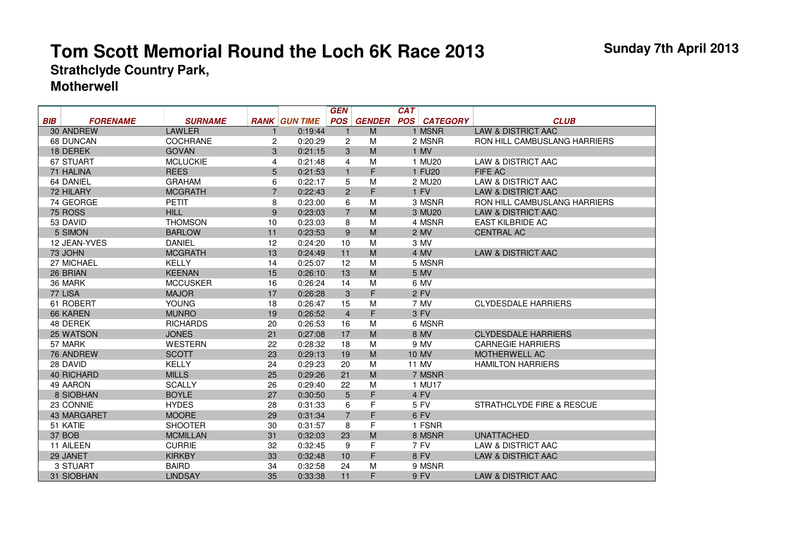## **Tom Scott Memorial Round the Loch 6K Race 2013Strathclyde Country Park,**

## **Motherwell**

|            |                    |                 |                |                      | <b>GEN</b>     |               | <b>CAT</b>          |                                     |
|------------|--------------------|-----------------|----------------|----------------------|----------------|---------------|---------------------|-------------------------------------|
| BIB        | <b>FORENAME</b>    | <b>SURNAME</b>  |                | <b>RANK GUN TIME</b> | <b>POS</b>     | <b>GENDER</b> | <b>POS CATEGORY</b> | <b>CLUB</b>                         |
|            | 30 ANDREW          | <b>LAWLER</b>   |                | 0:19:44              |                | M             | 1 MSNR              | <b>LAW &amp; DISTRICT AAC</b>       |
| 68 DUNCAN  |                    | <b>COCHRANE</b> | $\mathbf{2}$   | 0:20:29              | 2              | M             | 2 MSNR              | <b>RON HILL CAMBUSLANG HARRIERS</b> |
|            | 18 DEREK           | <b>GOVAN</b>    | 3              | 0:21:15              | 3              | M             | 1 MV                |                                     |
| 67 STUART  |                    | <b>MCLUCKIE</b> | 4              | 0:21:48              | $\overline{4}$ | M             | 1 MU20              | LAW & DISTRICT AAC                  |
| 71 HALINA  |                    | <b>REES</b>     | 5              | 0:21:53              | $\mathbf{1}$   | F.            | 1 FU <sub>20</sub>  | FIFE AC                             |
| 64 DANIEL  |                    | <b>GRAHAM</b>   | 6              | 0:22:17              | 5              | M             | 2 MU <sub>20</sub>  | LAW & DISTRICT AAC                  |
| 72 HILARY  |                    | <b>MCGRATH</b>  | $\overline{7}$ | 0:22:43              | $\overline{2}$ | F             | 1 FV                | <b>LAW &amp; DISTRICT AAC</b>       |
|            | 74 GEORGE          | <b>PETIT</b>    | 8              | 0:23:00              | 6              | M             | 3 MSNR              | <b>RON HILL CAMBUSLANG HARRIERS</b> |
| 75 ROSS    |                    | <b>HILL</b>     | 9              | 0:23:03              | $\overline{7}$ | M             | 3 MU <sub>20</sub>  | <b>LAW &amp; DISTRICT AAC</b>       |
|            | 53 DAVID           | <b>THOMSON</b>  | 10             | 0:23:03              | 8              | M             | 4 MSNR              | <b>EAST KILBRIDE AC</b>             |
|            | 5 SIMON            | <b>BARLOW</b>   | 11             | 0:23:53              | 9              | M             | 2 MV                | <b>CENTRAL AC</b>                   |
|            | 12 JEAN-YVES       | <b>DANIEL</b>   | 12             | 0:24:20              | 10             | M             | 3 MV                |                                     |
|            | 73 JOHN            | <b>MCGRATH</b>  | 13             | 0:24:49              | 11             | M             | 4 MV                | <b>LAW &amp; DISTRICT AAC</b>       |
|            | 27 MICHAEL         | <b>KELLY</b>    | 14             | 0:25:07              | 12             | M             | 5 MSNR              |                                     |
|            | 26 BRIAN           | <b>KEENAN</b>   | 15             | 0:26:10              | 13             | M             | 5 MV                |                                     |
|            | 36 MARK            | <b>MCCUSKER</b> | 16             | 0:26:24              | 14             | M             | 6 MV                |                                     |
|            | 77 LISA            | <b>MAJOR</b>    | 17             | 0:26:28              | 3              | F             | 2 FV                |                                     |
|            | 61 ROBERT          | <b>YOUNG</b>    | 18             | 0:26:47              | 15             | M             | 7 MV                | <b>CLYDESDALE HARRIERS</b>          |
|            | 66 KAREN           | <b>MUNRO</b>    | 19             | 0:26:52              | $\overline{4}$ | F             | 3 FV                |                                     |
|            | 48 DEREK           | <b>RICHARDS</b> | 20             | 0:26:53              | 16             | M             | 6 MSNR              |                                     |
|            | 25 WATSON          | <b>JONES</b>    | 21             | 0:27:08              | 17             | M             | 8 MV                | <b>CLYDESDALE HARRIERS</b>          |
|            | 57 MARK            | <b>WESTERN</b>  | 22             | 0:28:32              | 18             | M             | 9 MV                | <b>CARNEGIE HARRIERS</b>            |
|            | 76 ANDREW          | <b>SCOTT</b>    | 23             | 0:29:13              | 19             | M             | <b>10 MV</b>        | <b>MOTHERWELL AC</b>                |
|            | 28 DAVID           | <b>KELLY</b>    | 24             | 0:29:23              | 20             | M             | 11 MV               | <b>HAMILTON HARRIERS</b>            |
|            | <b>40 RICHARD</b>  | <b>MILLS</b>    | 25             | 0:29:26              | 21             | M             | 7 MSNR              |                                     |
|            | 49 AARON           | <b>SCALLY</b>   | 26             | 0:29:40              | 22             | M             | 1 MU17              |                                     |
|            | 8 SIOBHAN          | <b>BOYLE</b>    | 27             | 0:30:50              | 5              | F             | 4 FV                |                                     |
|            | 23 CONNIE          | <b>HYDES</b>    | 28             | 0:31:33              | 6              | F             | 5 FV                | STRATHCLYDE FIRE & RESCUE           |
|            | <b>43 MARGARET</b> | <b>MOORE</b>    | 29             | 0:31:34              | $\overline{7}$ | F             | 6 FV                |                                     |
| 51 KATIE   |                    | <b>SHOOTER</b>  | 30             | 0:31:57              | 8              | F             | 1 FSNR              |                                     |
| 37 BOB     |                    | <b>MCMILLAN</b> | 31             | 0:32:03              | 23             | M             | 8 MSNR              | <b>UNATTACHED</b>                   |
| 11 AILEEN  |                    | <b>CURRIE</b>   | 32             | 0:32:45              | 9              | F             | 7 FV                | LAW & DISTRICT AAC                  |
| 29 JANET   |                    | <b>KIRKBY</b>   | 33             | 0:32:48              | 10             | F             | 8 FV                | <b>LAW &amp; DISTRICT AAC</b>       |
|            | 3 STUART           | <b>BAIRD</b>    | 34             | 0:32:58              | 24             | M             | 9 MSNR              |                                     |
| 31 SIOBHAN |                    | <b>LINDSAY</b>  | 35             | 0:33:38              | 11             | F             | 9 FV                | <b>LAW &amp; DISTRICT AAC</b>       |